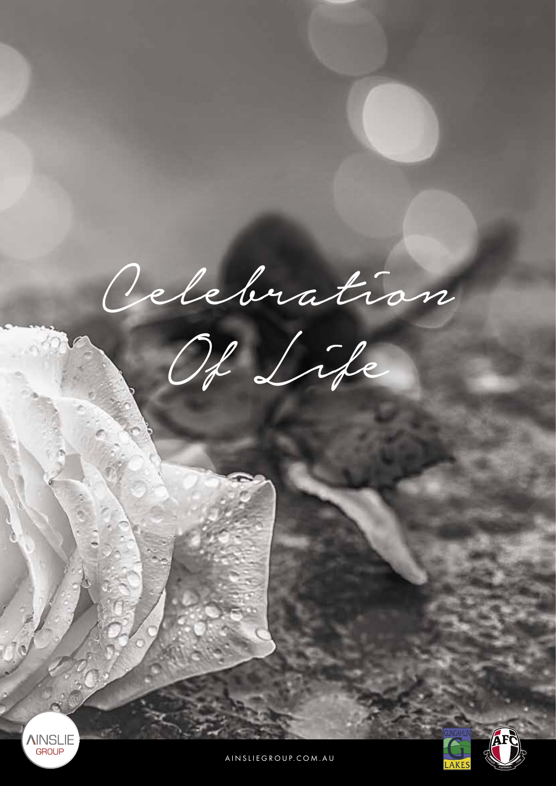Celebration Of Life **AINSLIE** GROUP **<sup>A</sup><sup>I</sup>NSLI<sup>E</sup>**

**FOOTBALL**  $\mathcal{C}$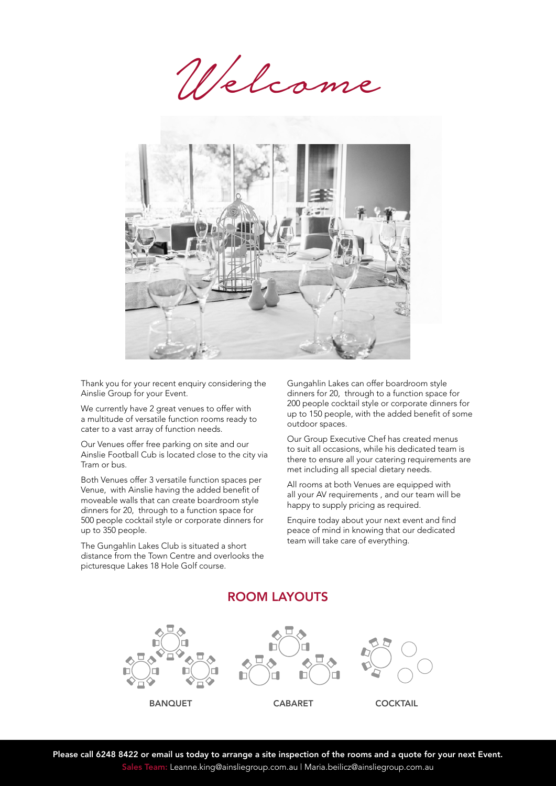Welcome



Thank you for your recent enquiry considering the Ainslie Group for your Event.

We currently have 2 great venues to offer with a multitude of versatile function rooms ready to cater to a vast array of function needs.

Our Venues offer free parking on site and our Ainslie Football Cub is located close to the city via Tram or bus.

Both Venues offer 3 versatile function spaces per Venue, with Ainslie having the added benefit of moveable walls that can create boardroom style dinners for 20, through to a function space for 500 people cocktail style or corporate dinners for up to 350 people.

The Gungahlin Lakes Club is situated a short distance from the Town Centre and overlooks the picturesque Lakes 18 Hole Golf course.

Gungahlin Lakes can offer boardroom style dinners for 20, through to a function space for 200 people cocktail style or corporate dinners for up to 150 people, with the added benefit of some outdoor spaces.

Our Group Executive Chef has created menus to suit all occasions, while his dedicated team is there to ensure all your catering requirements are met including all special dietary needs.

All rooms at both Venues are equipped with all your AV requirements , and our team will be happy to supply pricing as required.

Enquire today about your next event and find peace of mind in knowing that our dedicated team will take care of everything.

BANQUET CABARET COCKTAIL

# ROOM LAYOUTS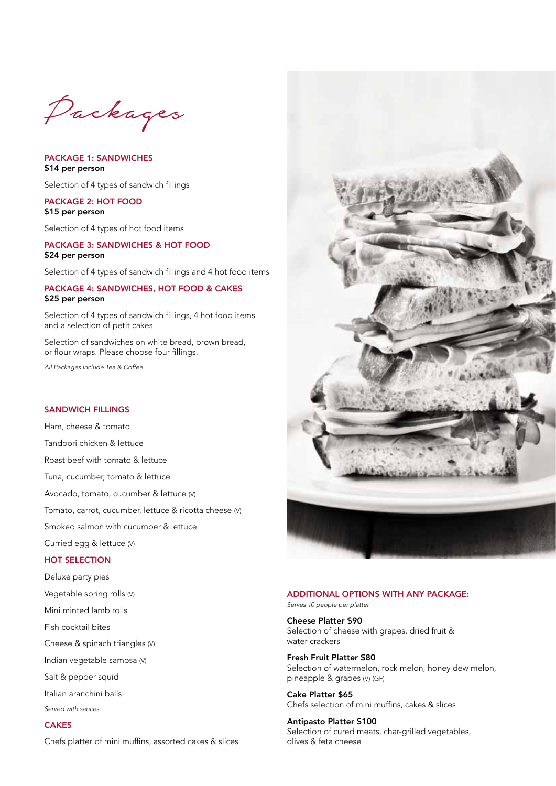Packages

PACKAGE 1: SANDWICHES \$14 per person

Selection of 4 types of sandwich fillings

### PACKAGE 2: HOT FOOD \$15 per person

Selection of 4 types of hot food items

# PACKAGE 3: SANDWICHES & HOT FOOD \$24 per person

Selection of 4 types of sandwich fillings and 4 hot food items

# PACKAGE 4: SANDWICHES, HOT FOOD & CAKES \$25 per person

Selection of 4 types of sandwich fillings, 4 hot food items and a selection of petit cakes

Selection of sandwiches on white bread, brown bread, or flour wraps. Please choose four fillings.

*All Packages include Tea & Coffee*

# SANDWICH FILLINGS

Ham, cheese & tomato Tandoori chicken & lettuce Roast beef with tomato & lettuce Tuna, cucumber, tomato & lettuce Avocado, tomato, cucumber & lettuce (V) Tomato, carrot, cucumber, lettuce & ricotta cheese (V) Smoked salmon with cucumber & lettuce Curried egg & lettuce (V) HOT SELECTION

Deluxe party pies Vegetable spring rolls (V)

Mini minted lamb rolls

Fish cocktail bites

Cheese & spinach triangles (V)

Indian vegetable samosa (V)

Salt & pepper squid

Italian aranchini balls

*Served with sauces*

# **CAKES**

Chefs platter of mini muffins, assorted cakes & slices



### ADDITIONAL OPTIONS WITH ANY PACKAGE:

*Serves 10 people per platter*

Cheese Platter \$90 Selection of cheese with grapes, dried fruit & water crackers

Fresh Fruit Platter \$80 Selection of watermelon, rock melon, honey dew melon, pineapple & grapes (V) (GF)

Cake Platter \$65 Chefs selection of mini muffins, cakes & slices

Antipasto Platter \$100 Selection of cured meats, char-grilled vegetables, olives & feta cheese